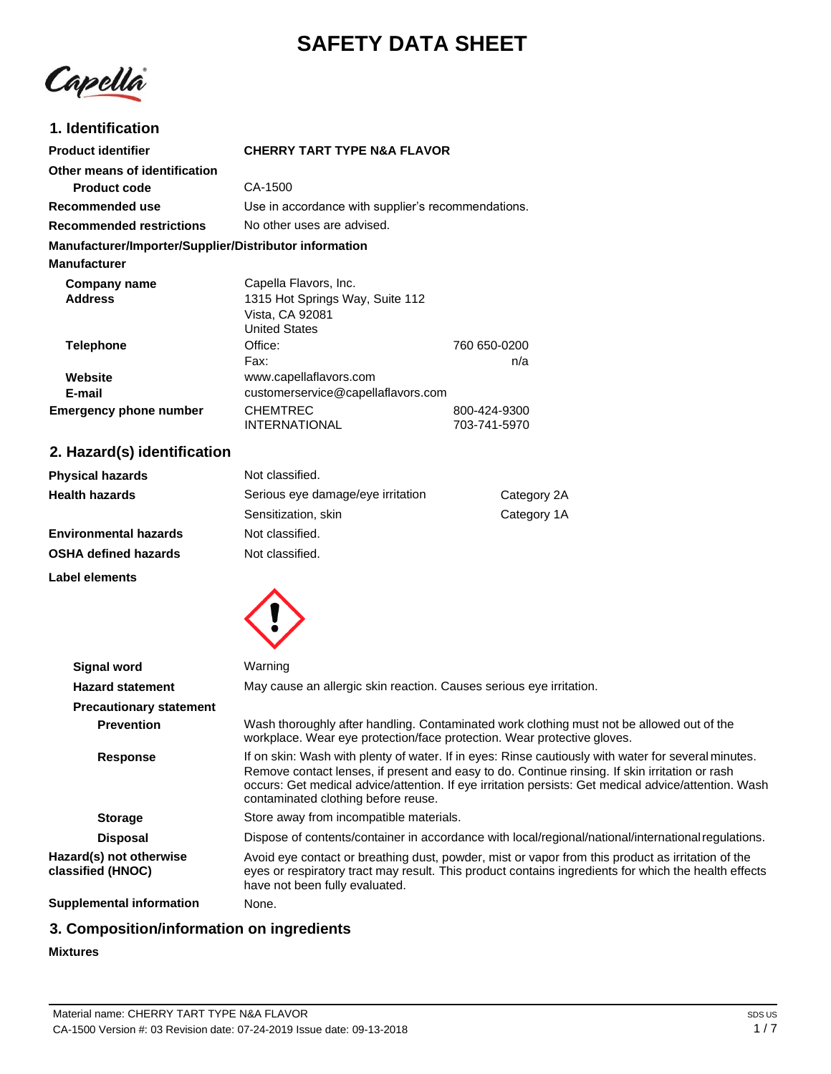# **SAFETY DATA SHEET**



# **1. Identification**

| <b>Product identifier</b>                              | <b>CHERRY TART TYPE N&amp;A FLAVOR</b>             |              |
|--------------------------------------------------------|----------------------------------------------------|--------------|
| Other means of identification                          |                                                    |              |
| <b>Product code</b>                                    | CA-1500                                            |              |
| Recommended use                                        | Use in accordance with supplier's recommendations. |              |
| <b>Recommended restrictions</b>                        | No other uses are advised.                         |              |
| Manufacturer/Importer/Supplier/Distributor information |                                                    |              |
| <b>Manufacturer</b>                                    |                                                    |              |
| Company name                                           | Capella Flavors, Inc.                              |              |
| <b>Address</b><br>1315 Hot Springs Way, Suite 112      |                                                    |              |
|                                                        | Vista, CA 92081                                    |              |
|                                                        | <b>United States</b>                               |              |
| Telephone                                              | Office:                                            | 760 650-0200 |
|                                                        | Fax:                                               | n/a          |
| Website                                                | www.capellaflavors.com                             |              |
| E-mail                                                 | customerservice@capellaflavors.com                 |              |
| <b>Emergency phone number</b>                          | <b>CHEMTREC</b>                                    | 800-424-9300 |
|                                                        | <b>INTERNATIONAL</b>                               | 703-741-5970 |

# **2. Hazard(s) identification**

| <b>Physical hazards</b>      | Not classified.                   |             |
|------------------------------|-----------------------------------|-------------|
| <b>Health hazards</b>        | Serious eye damage/eye irritation | Category 2A |
|                              | Sensitization, skin               | Category 1A |
| <b>Environmental hazards</b> | Not classified.                   |             |
| <b>OSHA defined hazards</b>  | Not classified.                   |             |

**Label elements**



| <b>Signal word</b>                           | Warning                                                                                                                                                                                                                                                                                                                                              |
|----------------------------------------------|------------------------------------------------------------------------------------------------------------------------------------------------------------------------------------------------------------------------------------------------------------------------------------------------------------------------------------------------------|
| <b>Hazard statement</b>                      | May cause an allergic skin reaction. Causes serious eye irritation.                                                                                                                                                                                                                                                                                  |
| <b>Precautionary statement</b>               |                                                                                                                                                                                                                                                                                                                                                      |
| <b>Prevention</b>                            | Wash thoroughly after handling. Contaminated work clothing must not be allowed out of the<br>workplace. Wear eye protection/face protection. Wear protective gloves.                                                                                                                                                                                 |
| <b>Response</b>                              | If on skin: Wash with plenty of water. If in eyes: Rinse cautiously with water for several minutes.<br>Remove contact lenses, if present and easy to do. Continue rinsing. If skin irritation or rash<br>occurs: Get medical advice/attention. If eye irritation persists: Get medical advice/attention. Wash<br>contaminated clothing before reuse. |
| <b>Storage</b>                               | Store away from incompatible materials.                                                                                                                                                                                                                                                                                                              |
| <b>Disposal</b>                              | Dispose of contents/container in accordance with local/regional/national/international regulations.                                                                                                                                                                                                                                                  |
| Hazard(s) not otherwise<br>classified (HNOC) | Avoid eye contact or breathing dust, powder, mist or vapor from this product as irritation of the<br>eyes or respiratory tract may result. This product contains ingredients for which the health effects<br>have not been fully evaluated.                                                                                                          |
| Supplemental information                     | None.                                                                                                                                                                                                                                                                                                                                                |

# **3. Composition/information on ingredients**

### **Mixtures**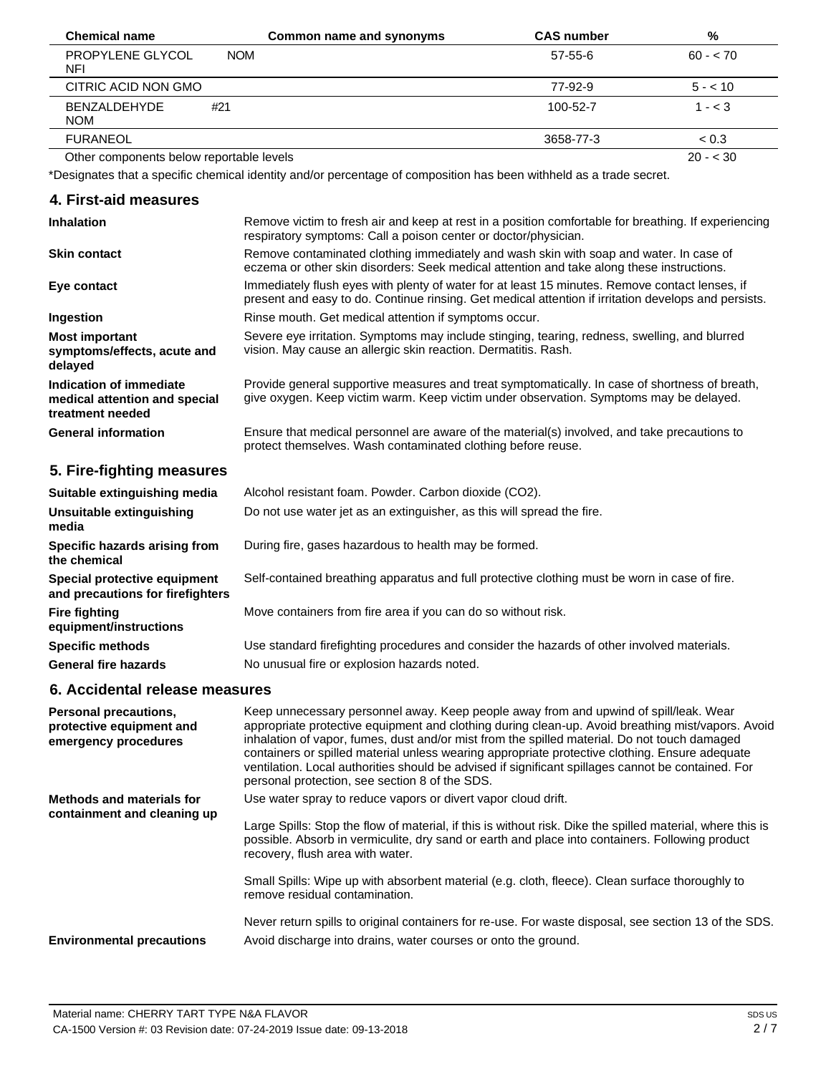| <b>Chemical name</b>                     | Common name and synonyms | <b>CAS number</b> | %         |
|------------------------------------------|--------------------------|-------------------|-----------|
| PROPYLENE GLYCOL<br><b>NFI</b>           | <b>NOM</b>               | $57 - 55 - 6$     | $60 - 70$ |
| CITRIC ACID NON GMO                      |                          | 77-92-9           | $5 - 10$  |
| <b>BENZALDEHYDE</b><br><b>NOM</b>        | #21                      | 100-52-7          | $1 - < 3$ |
| <b>FURANEOL</b>                          |                          | 3658-77-3         | < 0.3     |
| Other components below reportable levels |                          |                   | $20 - 30$ |

Other components below reportable le

\*Designates that a specific chemical identity and/or percentage of composition has been withheld as a trade secret.

| 4. First-aid measures                                                        |                                                                                                                                                                                                        |
|------------------------------------------------------------------------------|--------------------------------------------------------------------------------------------------------------------------------------------------------------------------------------------------------|
| <b>Inhalation</b>                                                            | Remove victim to fresh air and keep at rest in a position comfortable for breathing. If experiencing<br>respiratory symptoms: Call a poison center or doctor/physician.                                |
| <b>Skin contact</b>                                                          | Remove contaminated clothing immediately and wash skin with soap and water. In case of<br>eczema or other skin disorders: Seek medical attention and take along these instructions.                    |
| Eye contact                                                                  | Immediately flush eyes with plenty of water for at least 15 minutes. Remove contact lenses, if<br>present and easy to do. Continue rinsing. Get medical attention if irritation develops and persists. |
| Ingestion                                                                    | Rinse mouth. Get medical attention if symptoms occur.                                                                                                                                                  |
| <b>Most important</b><br>symptoms/effects, acute and<br>delayed              | Severe eye irritation. Symptoms may include stinging, tearing, redness, swelling, and blurred<br>vision. May cause an allergic skin reaction. Dermatitis. Rash.                                        |
| Indication of immediate<br>medical attention and special<br>treatment needed | Provide general supportive measures and treat symptomatically. In case of shortness of breath,<br>give oxygen. Keep victim warm. Keep victim under observation. Symptoms may be delayed.               |
| <b>General information</b>                                                   | Ensure that medical personnel are aware of the material(s) involved, and take precautions to<br>protect themselves. Wash contaminated clothing before reuse.                                           |
| 5. Fire-fighting measures                                                    |                                                                                                                                                                                                        |
| Suitable extinguishing media                                                 | Alcohol resistant foam. Powder. Carbon dioxide (CO2).                                                                                                                                                  |
| Unsuitable extinguishing<br>media                                            | Do not use water jet as an extinguisher, as this will spread the fire.                                                                                                                                 |
| Specific hazards arising from<br>the chemical                                | During fire, gases hazardous to health may be formed.                                                                                                                                                  |
| Special protective equipment<br>and precautions for firefighters             | Self-contained breathing apparatus and full protective clothing must be worn in case of fire.                                                                                                          |
| <b>Fire fighting</b><br>equipment/instructions                               | Move containers from fire area if you can do so without risk.                                                                                                                                          |
| <b>Specific methods</b>                                                      | Use standard firefighting procedures and consider the hazards of other involved materials.                                                                                                             |
| <b>General fire hazards</b>                                                  | No unusual fire or explosion hazards noted.                                                                                                                                                            |

# **6. Accidental release measures**

| Personal precautions,<br>protective equipment and<br>emergency procedures | Keep unnecessary personnel away. Keep people away from and upwind of spill/leak. Wear<br>appropriate protective equipment and clothing during clean-up. Avoid breathing mist/vapors. Avoid<br>inhalation of vapor, fumes, dust and/or mist from the spilled material. Do not touch damaged<br>containers or spilled material unless wearing appropriate protective clothing. Ensure adequate<br>ventilation. Local authorities should be advised if significant spillages cannot be contained. For<br>personal protection, see section 8 of the SDS. |
|---------------------------------------------------------------------------|------------------------------------------------------------------------------------------------------------------------------------------------------------------------------------------------------------------------------------------------------------------------------------------------------------------------------------------------------------------------------------------------------------------------------------------------------------------------------------------------------------------------------------------------------|
| <b>Methods and materials for</b><br>containment and cleaning up           | Use water spray to reduce vapors or divert vapor cloud drift.                                                                                                                                                                                                                                                                                                                                                                                                                                                                                        |
|                                                                           | Large Spills: Stop the flow of material, if this is without risk. Dike the spilled material, where this is<br>possible. Absorb in vermiculite, dry sand or earth and place into containers. Following product<br>recovery, flush area with water.                                                                                                                                                                                                                                                                                                    |
|                                                                           | Small Spills: Wipe up with absorbent material (e.g. cloth, fleece). Clean surface thoroughly to<br>remove residual contamination.                                                                                                                                                                                                                                                                                                                                                                                                                    |
| <b>Environmental precautions</b>                                          | Never return spills to original containers for re-use. For waste disposal, see section 13 of the SDS.<br>Avoid discharge into drains, water courses or onto the ground.                                                                                                                                                                                                                                                                                                                                                                              |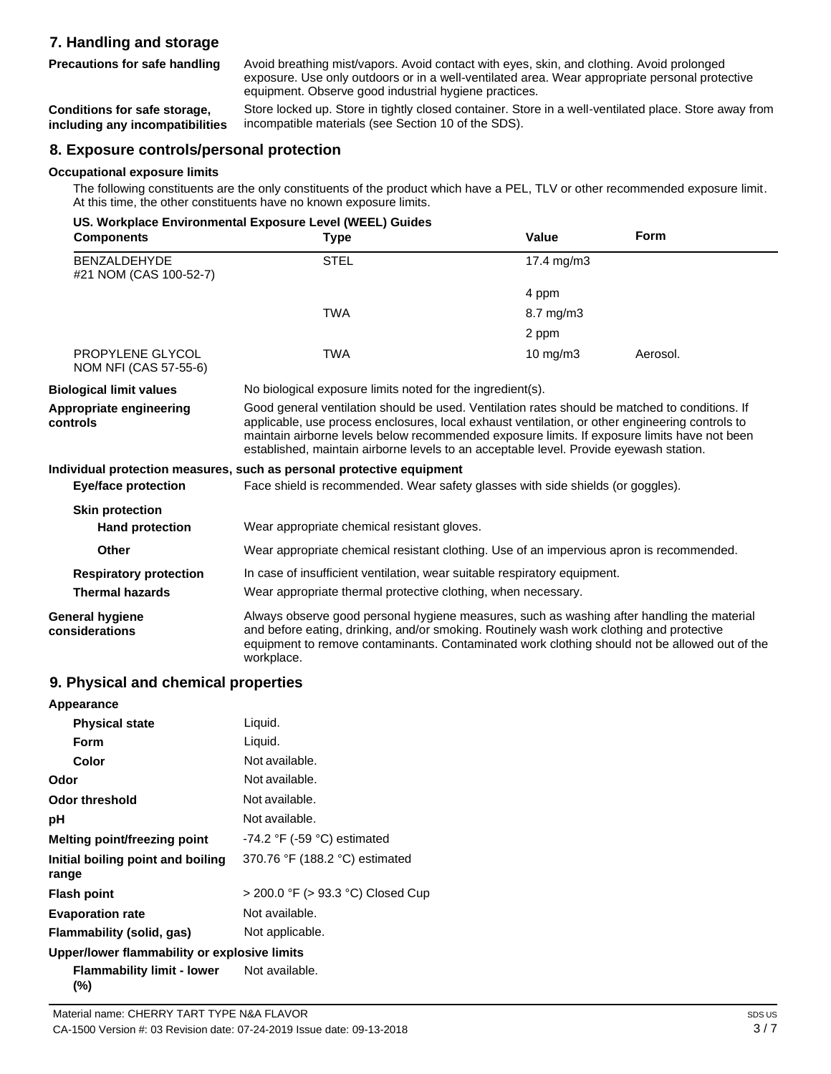# **7. Handling and storage Precautions for safe handling**

Avoid breathing mist/vapors. Avoid contact with eyes, skin, and clothing. Avoid prolonged exposure. Use only outdoors or in a well-ventilated area. Wear appropriate personal protective equipment. Observe good industrial hygiene practices.

**Conditions for safe storage, including any incompatibilities** Store locked up. Store in tightly closed container. Store in a well-ventilated place. Store away from incompatible materials (see Section 10 of the SDS).

# **8. Exposure controls/personal protection**

### **Occupational exposure limits**

The following constituents are the only constituents of the product which have a PEL, TLV or other recommended exposure limit. At this time, the other constituents have no known exposure limits.

| <b>Components</b>                             | US. Workplace Environmental Exposure Level (WEEL) Guides<br><b>Type</b>                                                                                                                                                                                                                                                                                                                     | Value                                                         | <b>Form</b> |
|-----------------------------------------------|---------------------------------------------------------------------------------------------------------------------------------------------------------------------------------------------------------------------------------------------------------------------------------------------------------------------------------------------------------------------------------------------|---------------------------------------------------------------|-------------|
| <b>BENZALDEHYDE</b><br>#21 NOM (CAS 100-52-7) | <b>STEL</b>                                                                                                                                                                                                                                                                                                                                                                                 | 17.4 mg/m3                                                    |             |
|                                               |                                                                                                                                                                                                                                                                                                                                                                                             | 4 ppm                                                         |             |
|                                               | <b>TWA</b>                                                                                                                                                                                                                                                                                                                                                                                  | 8.7 mg/m3                                                     |             |
|                                               |                                                                                                                                                                                                                                                                                                                                                                                             | 2 ppm                                                         |             |
| PROPYLENE GLYCOL<br>NOM NFI (CAS 57-55-6)     | <b>TWA</b>                                                                                                                                                                                                                                                                                                                                                                                  | 10 $mg/m3$                                                    | Aerosol.    |
| <b>Biological limit values</b>                | No biological exposure limits noted for the ingredient(s).                                                                                                                                                                                                                                                                                                                                  |                                                               |             |
| Appropriate engineering<br>controls           | Good general ventilation should be used. Ventilation rates should be matched to conditions. If<br>applicable, use process enclosures, local exhaust ventilation, or other engineering controls to<br>maintain airborne levels below recommended exposure limits. If exposure limits have not been<br>established, maintain airborne levels to an acceptable level. Provide eyewash station. |                                                               |             |
|                                               | Individual protection measures, such as personal protective equipment                                                                                                                                                                                                                                                                                                                       |                                                               |             |
| <b>Eye/face protection</b>                    | Face shield is recommended. Wear safety glasses with side shields (or goggles).                                                                                                                                                                                                                                                                                                             |                                                               |             |
| <b>Skin protection</b>                        |                                                                                                                                                                                                                                                                                                                                                                                             |                                                               |             |
| <b>Hand protection</b>                        | Wear appropriate chemical resistant gloves.                                                                                                                                                                                                                                                                                                                                                 |                                                               |             |
| Other                                         | Wear appropriate chemical resistant clothing. Use of an impervious apron is recommended.                                                                                                                                                                                                                                                                                                    |                                                               |             |
| <b>Respiratory protection</b>                 | In case of insufficient ventilation, wear suitable respiratory equipment.                                                                                                                                                                                                                                                                                                                   |                                                               |             |
| <b>Thermal hazards</b>                        |                                                                                                                                                                                                                                                                                                                                                                                             | Wear appropriate thermal protective clothing, when necessary. |             |
| General hygiene<br>considerations             | Always observe good personal hygiene measures, such as washing after handling the material<br>and before eating, drinking, and/or smoking. Routinely wash work clothing and protective<br>equipment to remove contaminants. Contaminated work clothing should not be allowed out of the<br>workplace.                                                                                       |                                                               |             |

# **9. Physical and chemical properties**

| Appearance                                   |                                   |
|----------------------------------------------|-----------------------------------|
| <b>Physical state</b>                        | Liquid.                           |
| Form                                         | Liquid.                           |
| Color                                        | Not available.                    |
| Odor                                         | Not available.                    |
| <b>Odor threshold</b>                        | Not available.                    |
| рH                                           | Not available.                    |
| Melting point/freezing point                 | $-74.2$ °F ( $-59$ °C) estimated  |
| Initial boiling point and boiling<br>range   | 370.76 °F (188.2 °C) estimated    |
| <b>Flash point</b>                           | > 200.0 °F (> 93.3 °C) Closed Cup |
| <b>Evaporation rate</b>                      | Not available.                    |
| Flammability (solid, gas)                    | Not applicable.                   |
| Upper/lower flammability or explosive limits |                                   |
| Flammability limit - lower<br>(%)            | Not available.                    |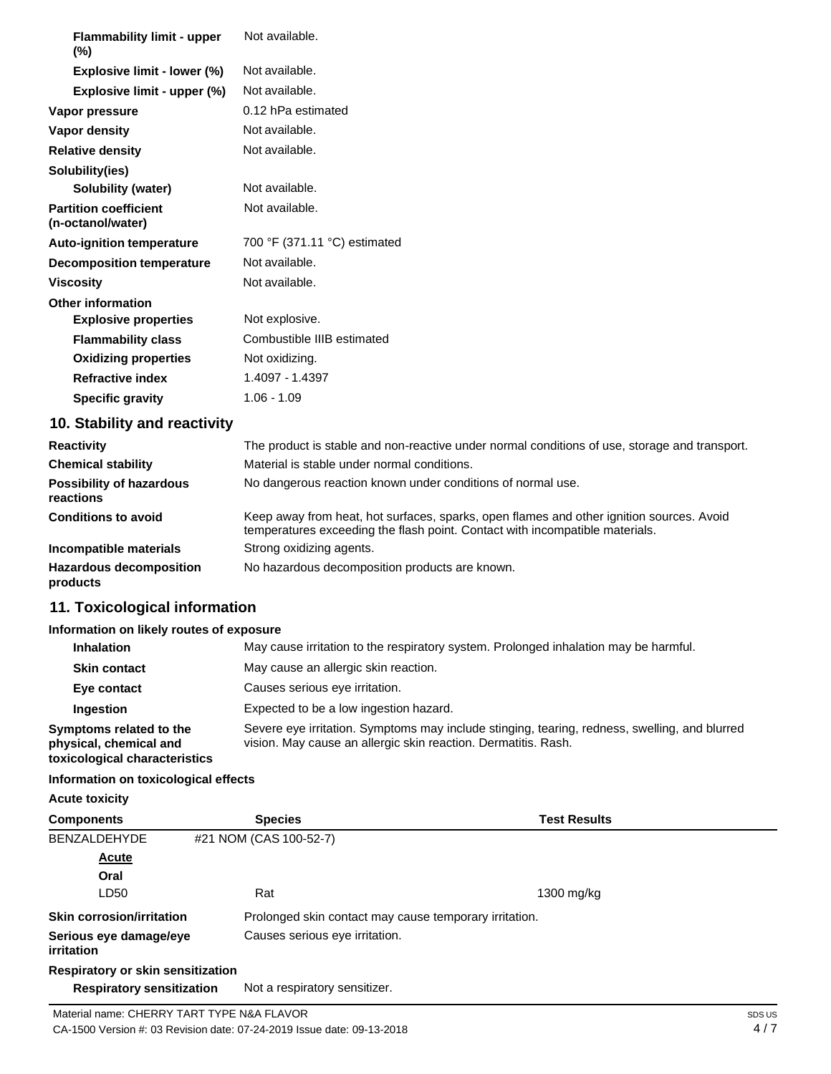| <b>Flammability limit - upper</b><br>$(\%)$       | Not available.               |
|---------------------------------------------------|------------------------------|
| Explosive limit - lower (%)                       | Not available.               |
| Explosive limit - upper (%)                       | Not available.               |
| Vapor pressure                                    | 0.12 hPa estimated           |
| Vapor density                                     | Not available.               |
| <b>Relative density</b>                           | Not available.               |
| Solubility(ies)                                   |                              |
| Solubility (water)                                | Not available.               |
| <b>Partition coefficient</b><br>(n-octanol/water) | Not available.               |
| <b>Auto-ignition temperature</b>                  | 700 °F (371.11 °C) estimated |
| <b>Decomposition temperature</b>                  | Not available.               |
| <b>Viscosity</b>                                  | Not available.               |
| <b>Other information</b>                          |                              |
| <b>Explosive properties</b>                       | Not explosive.               |
| <b>Flammability class</b>                         | Combustible IIIB estimated   |
| <b>Oxidizing properties</b>                       | Not oxidizing.               |
| <b>Refractive index</b>                           | 1.4097 - 1.4397              |
| <b>Specific gravity</b>                           | $1.06 - 1.09$                |
| 10. Stability and reactivity                      |                              |

| <b>Reactivity</b>                            | The product is stable and non-reactive under normal conditions of use, storage and transport.                                                                            |
|----------------------------------------------|--------------------------------------------------------------------------------------------------------------------------------------------------------------------------|
| <b>Chemical stability</b>                    | Material is stable under normal conditions.                                                                                                                              |
| <b>Possibility of hazardous</b><br>reactions | No dangerous reaction known under conditions of normal use.                                                                                                              |
| <b>Conditions to avoid</b>                   | Keep away from heat, hot surfaces, sparks, open flames and other ignition sources. Avoid<br>temperatures exceeding the flash point. Contact with incompatible materials. |
| Incompatible materials                       | Strong oxidizing agents.                                                                                                                                                 |
| <b>Hazardous decomposition</b><br>products   | No hazardous decomposition products are known.                                                                                                                           |

# **11. Toxicological information**

# **Information on likely routes of exposure**

| <b>Inhalation</b>                                                                  | May cause irritation to the respiratory system. Prolonged inhalation may be harmful.                                                                            |
|------------------------------------------------------------------------------------|-----------------------------------------------------------------------------------------------------------------------------------------------------------------|
| <b>Skin contact</b>                                                                | May cause an allergic skin reaction.                                                                                                                            |
| Eye contact                                                                        | Causes serious eye irritation.                                                                                                                                  |
| <b>Ingestion</b>                                                                   | Expected to be a low ingestion hazard.                                                                                                                          |
| Symptoms related to the<br>physical, chemical and<br>toxicological characteristics | Severe eye irritation. Symptoms may include stinging, tearing, redness, swelling, and blurred<br>vision. May cause an allergic skin reaction. Dermatitis. Rash. |

# **Information on toxicological effects**

**Acute toxicity**

| <b>Components</b>                           | <b>Species</b>                 | <b>Test Results</b>                                    |  |
|---------------------------------------------|--------------------------------|--------------------------------------------------------|--|
| <b>BENZALDEHYDE</b>                         | #21 NOM (CAS 100-52-7)         |                                                        |  |
| <b>Acute</b>                                |                                |                                                        |  |
| Oral                                        |                                |                                                        |  |
| LD50                                        | Rat                            | 1300 mg/kg                                             |  |
| <b>Skin corrosion/irritation</b>            |                                | Prolonged skin contact may cause temporary irritation. |  |
| Serious eye damage/eye<br><i>irritation</i> | Causes serious eye irritation. |                                                        |  |
| Respiratory or skin sensitization           |                                |                                                        |  |
| <b>Respiratory sensitization</b>            | Not a respiratory sensitizer.  |                                                        |  |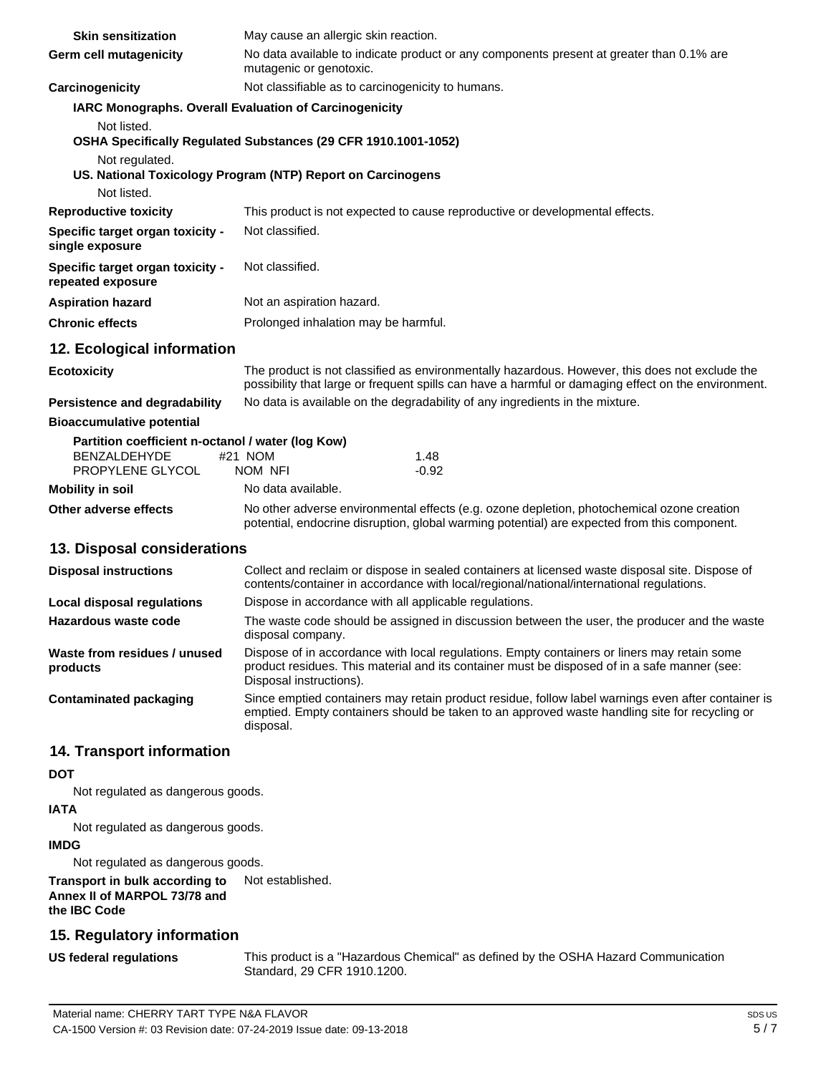| <b>Skin sensitization</b>                                  | May cause an allergic skin reaction.                                                                                                                                                                                   |  |
|------------------------------------------------------------|------------------------------------------------------------------------------------------------------------------------------------------------------------------------------------------------------------------------|--|
| Germ cell mutagenicity                                     | No data available to indicate product or any components present at greater than 0.1% are<br>mutagenic or genotoxic.                                                                                                    |  |
| Carcinogenicity                                            | Not classifiable as to carcinogenicity to humans.                                                                                                                                                                      |  |
| Not listed.                                                | IARC Monographs. Overall Evaluation of Carcinogenicity                                                                                                                                                                 |  |
| Not regulated.                                             | OSHA Specifically Regulated Substances (29 CFR 1910.1001-1052)                                                                                                                                                         |  |
|                                                            | US. National Toxicology Program (NTP) Report on Carcinogens                                                                                                                                                            |  |
| Not listed.                                                |                                                                                                                                                                                                                        |  |
| <b>Reproductive toxicity</b>                               | This product is not expected to cause reproductive or developmental effects.                                                                                                                                           |  |
| <b>Specific target organ toxicity -</b><br>single exposure | Not classified.                                                                                                                                                                                                        |  |
| Specific target organ toxicity -<br>repeated exposure      | Not classified.                                                                                                                                                                                                        |  |
| <b>Aspiration hazard</b>                                   | Not an aspiration hazard.                                                                                                                                                                                              |  |
| <b>Chronic effects</b>                                     | Prolonged inhalation may be harmful.                                                                                                                                                                                   |  |
| 12. Ecological information                                 |                                                                                                                                                                                                                        |  |
| <b>Ecotoxicity</b>                                         | The product is not classified as environmentally hazardous. However, this does not exclude the<br>possibility that large or frequent spills can have a harmful or damaging effect on the environment.                  |  |
| <b>Persistence and degradability</b>                       | No data is available on the degradability of any ingredients in the mixture.                                                                                                                                           |  |
| <b>Bioaccumulative potential</b>                           |                                                                                                                                                                                                                        |  |
| Partition coefficient n-octanol / water (log Kow)          |                                                                                                                                                                                                                        |  |
| <b>BENZALDEHYDE</b><br>PROPYLENE GLYCOL                    | #21 NOM<br>1.48<br>NOM NFI<br>$-0.92$                                                                                                                                                                                  |  |
| <b>Mobility in soil</b>                                    | No data available.                                                                                                                                                                                                     |  |
| <b>Other adverse effects</b>                               | No other adverse environmental effects (e.g. ozone depletion, photochemical ozone creation<br>potential, endocrine disruption, global warming potential) are expected from this component.                             |  |
| 13. Disposal considerations                                |                                                                                                                                                                                                                        |  |
| <b>Disposal instructions</b>                               | Collect and reclaim or dispose in sealed containers at licensed waste disposal site. Dispose of<br>contents/container in accordance with local/regional/national/international regulations.                            |  |
| <b>Local disposal regulations</b>                          | Dispose in accordance with all applicable regulations.                                                                                                                                                                 |  |
| Hazardous waste code                                       | The waste code should be assigned in discussion between the user, the producer and the waste<br>disposal company.                                                                                                      |  |
| Waste from residues / unused<br>products                   | Dispose of in accordance with local regulations. Empty containers or liners may retain some<br>product residues. This material and its container must be disposed of in a safe manner (see:<br>Disposal instructions). |  |
| <b>Contaminated packaging</b>                              | Since emptied containers may retain product residue, follow label warnings even after container is<br>emptied. Empty containers should be taken to an approved waste handling site for recycling or<br>disposal.       |  |
| <b>14. Transport information</b>                           |                                                                                                                                                                                                                        |  |
| <b>DOT</b>                                                 |                                                                                                                                                                                                                        |  |

Not regulated as dangerous goods.

#### **IATA**

Not regulated as dangerous goods.

### **IMDG**

Not regulated as dangerous goods.

**Transport in bulk according to Annex II of MARPOL 73/78 and the IBC Code** Not established.

# **15. Regulatory information**

**US federal regulations**

This product is a "Hazardous Chemical" as defined by the OSHA Hazard Communication Standard, 29 CFR 1910.1200.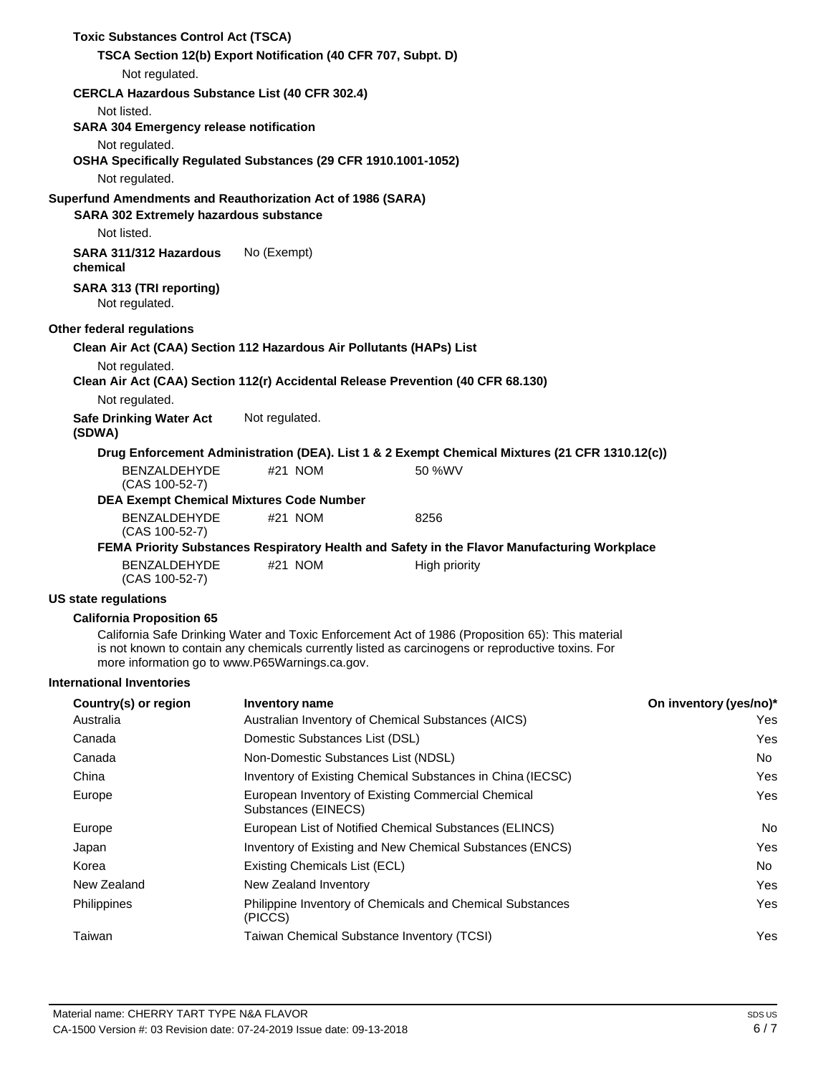| <b>Toxic Substances Control Act (TSCA)</b>                           |                                                            |                                                                                                                                                                                                       |                        |
|----------------------------------------------------------------------|------------------------------------------------------------|-------------------------------------------------------------------------------------------------------------------------------------------------------------------------------------------------------|------------------------|
| TSCA Section 12(b) Export Notification (40 CFR 707, Subpt. D)        |                                                            |                                                                                                                                                                                                       |                        |
| Not regulated.                                                       |                                                            |                                                                                                                                                                                                       |                        |
| <b>CERCLA Hazardous Substance List (40 CFR 302.4)</b>                |                                                            |                                                                                                                                                                                                       |                        |
| Not listed.                                                          |                                                            |                                                                                                                                                                                                       |                        |
| <b>SARA 304 Emergency release notification</b>                       |                                                            |                                                                                                                                                                                                       |                        |
| Not regulated.                                                       |                                                            |                                                                                                                                                                                                       |                        |
| OSHA Specifically Regulated Substances (29 CFR 1910.1001-1052)       |                                                            |                                                                                                                                                                                                       |                        |
| Not regulated.                                                       |                                                            |                                                                                                                                                                                                       |                        |
| Superfund Amendments and Reauthorization Act of 1986 (SARA)          |                                                            |                                                                                                                                                                                                       |                        |
| SARA 302 Extremely hazardous substance                               |                                                            |                                                                                                                                                                                                       |                        |
| Not listed.                                                          |                                                            |                                                                                                                                                                                                       |                        |
| SARA 311/312 Hazardous<br>chemical                                   | No (Exempt)                                                |                                                                                                                                                                                                       |                        |
| SARA 313 (TRI reporting)<br>Not regulated.                           |                                                            |                                                                                                                                                                                                       |                        |
| Other federal regulations                                            |                                                            |                                                                                                                                                                                                       |                        |
| Clean Air Act (CAA) Section 112 Hazardous Air Pollutants (HAPs) List |                                                            |                                                                                                                                                                                                       |                        |
| Not regulated.                                                       |                                                            |                                                                                                                                                                                                       |                        |
|                                                                      |                                                            | Clean Air Act (CAA) Section 112(r) Accidental Release Prevention (40 CFR 68.130)                                                                                                                      |                        |
| Not regulated.                                                       |                                                            |                                                                                                                                                                                                       |                        |
| <b>Safe Drinking Water Act</b><br>(SDWA)                             | Not regulated.                                             |                                                                                                                                                                                                       |                        |
|                                                                      |                                                            | Drug Enforcement Administration (DEA). List 1 & 2 Exempt Chemical Mixtures (21 CFR 1310.12(c))                                                                                                        |                        |
| <b>BENZALDEHYDE</b><br>(CAS 100-52-7)                                | #21 NOM                                                    | 50 %WV                                                                                                                                                                                                |                        |
| <b>DEA Exempt Chemical Mixtures Code Number</b>                      |                                                            |                                                                                                                                                                                                       |                        |
| BENZALDEHYDE<br>(CAS 100-52-7)                                       | #21 NOM                                                    | 8256                                                                                                                                                                                                  |                        |
|                                                                      |                                                            | FEMA Priority Substances Respiratory Health and Safety in the Flavor Manufacturing Workplace                                                                                                          |                        |
| <b>BENZALDEHYDE</b><br>(CAS 100-52-7)                                | #21 NOM                                                    | High priority                                                                                                                                                                                         |                        |
| US state regulations                                                 |                                                            |                                                                                                                                                                                                       |                        |
| <b>California Proposition 65</b>                                     |                                                            |                                                                                                                                                                                                       |                        |
| more information go to www.P65Warnings.ca.gov.                       |                                                            | California Safe Drinking Water and Toxic Enforcement Act of 1986 (Proposition 65): This material<br>is not known to contain any chemicals currently listed as carcinogens or reproductive toxins. For |                        |
| <b>International Inventories</b>                                     |                                                            |                                                                                                                                                                                                       |                        |
| Country(s) or region                                                 | <b>Inventory name</b>                                      |                                                                                                                                                                                                       | On inventory (yes/no)* |
| Australia                                                            |                                                            | Australian Inventory of Chemical Substances (AICS)                                                                                                                                                    | Yes                    |
| Canada                                                               | Domestic Substances List (DSL)                             |                                                                                                                                                                                                       | Yes                    |
| Canada                                                               | Non-Domestic Substances List (NDSL)                        |                                                                                                                                                                                                       | No                     |
| China                                                                | Inventory of Existing Chemical Substances in China (IECSC) |                                                                                                                                                                                                       | Yes                    |
| Europe                                                               | Substances (EINECS)                                        | European Inventory of Existing Commercial Chemical<br>Yes                                                                                                                                             |                        |
| Europe                                                               |                                                            | European List of Notified Chemical Substances (ELINCS)                                                                                                                                                | No.                    |
| Japan                                                                |                                                            | Inventory of Existing and New Chemical Substances (ENCS)                                                                                                                                              | Yes                    |
| Korea                                                                | Existing Chemicals List (ECL)                              |                                                                                                                                                                                                       | No                     |
| New Zealand                                                          | New Zealand Inventory                                      |                                                                                                                                                                                                       | Yes                    |
| Philippines                                                          | (PICCS)                                                    | Philippine Inventory of Chemicals and Chemical Substances                                                                                                                                             | Yes                    |
| Taiwan                                                               |                                                            | Taiwan Chemical Substance Inventory (TCSI)                                                                                                                                                            | Yes                    |